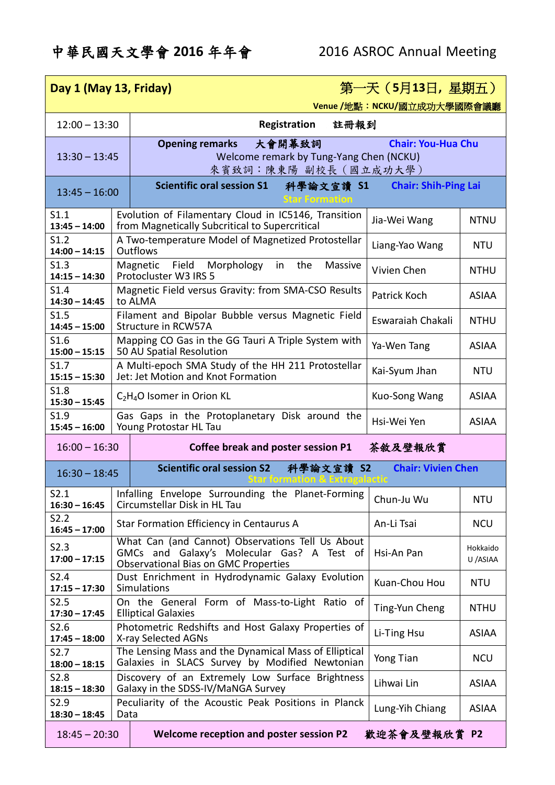## 中華民國天文學會 **2016** 年年會 2016 ASROC Annual Meeting

| 第一天 (5月13日, 星期五)<br>Day 1 (May 13, Friday) |      |                                                                                                                                               |                             |                      |  |  |  |  |
|--------------------------------------------|------|-----------------------------------------------------------------------------------------------------------------------------------------------|-----------------------------|----------------------|--|--|--|--|
|                                            |      |                                                                                                                                               | Venue /地點: NCKU/國立成功大學國際會議廳 |                      |  |  |  |  |
| $12:00 - 13:30$                            |      | Registration<br>註冊報到                                                                                                                          |                             |                      |  |  |  |  |
| $13:30 - 13:45$                            |      | <b>Opening remarks</b><br>大會開幕致詞<br><b>Chair: You-Hua Chu</b><br>Welcome remark by Tung-Yang Chen (NCKU)<br>來賓致詞:陳東陽 副校長 (國立成功大學)             |                             |                      |  |  |  |  |
| $13:45 - 16:00$                            |      | <b>Scientific oral session S1</b><br>科學論文宣讀 S1<br><b>Chair: Shih-Ping Lai</b><br>Star Formation                                               |                             |                      |  |  |  |  |
| S1.1<br>$13:45 - 14:00$                    |      | Evolution of Filamentary Cloud in IC5146, Transition<br>from Magnetically Subcritical to Supercritical                                        | Jia-Wei Wang                | <b>NTNU</b>          |  |  |  |  |
| S1.2<br>$14:00 - 14:15$                    |      | A Two-temperature Model of Magnetized Protostellar<br><b>Outflows</b>                                                                         | Liang-Yao Wang              | <b>NTU</b>           |  |  |  |  |
| S1.3<br>$14:15 - 14:30$                    |      | Field Morphology<br>the<br>Massive<br>Magnetic<br>in<br>Protocluster W3 IRS 5                                                                 | Vivien Chen                 | <b>NTHU</b>          |  |  |  |  |
| S <sub>1.4</sub><br>$14:30 - 14:45$        |      | Magnetic Field versus Gravity: from SMA-CSO Results<br>to ALMA                                                                                | Patrick Koch                | <b>ASIAA</b>         |  |  |  |  |
| S1.5<br>$14:45 - 15:00$                    |      | Filament and Bipolar Bubble versus Magnetic Field<br>Structure in RCW57A                                                                      | Eswaraiah Chakali           | <b>NTHU</b>          |  |  |  |  |
| S1.6<br>$15:00 - 15:15$                    |      | Mapping CO Gas in the GG Tauri A Triple System with<br>50 AU Spatial Resolution                                                               | Ya-Wen Tang                 | <b>ASIAA</b>         |  |  |  |  |
| S1.7<br>$15:15 - 15:30$                    |      | A Multi-epoch SMA Study of the HH 211 Protostellar<br>Kai-Syum Jhan<br><b>NTU</b><br>Jet: Jet Motion and Knot Formation                       |                             |                      |  |  |  |  |
| S1.8<br>$15:30 - 15:45$                    |      | $C_2H_4O$ Isomer in Orion KL                                                                                                                  | Kuo-Song Wang               | <b>ASIAA</b>         |  |  |  |  |
| S1.9<br>$15:45 - 16:00$                    |      | Gas Gaps in the Protoplanetary Disk around the<br>Young Protostar HL Tau                                                                      | Hsi-Wei Yen                 | <b>ASIAA</b>         |  |  |  |  |
| $16:00 - 16:30$                            |      | 茶敘及壁報欣賞<br>Coffee break and poster session P1                                                                                                 |                             |                      |  |  |  |  |
| $16:30 - 18:45$                            |      | <b>Scientific oral session S2</b><br><b>Chair: Vivien Chen</b><br>科學論文宣讀 S2                                                                   |                             |                      |  |  |  |  |
| S2.1<br>$16:30 - 16:45$                    |      | Infalling Envelope Surrounding the Planet-Forming<br>Circumstellar Disk in HL Tau                                                             | Chun-Ju Wu                  | <b>NTU</b>           |  |  |  |  |
| S2.2<br>$16:45 - 17:00$                    |      | Star Formation Efficiency in Centaurus A                                                                                                      | An-Li Tsai                  | <b>NCU</b>           |  |  |  |  |
| S2.3<br>$17:00 - 17:15$                    |      | What Can (and Cannot) Observations Tell Us About<br>GMCs and Galaxy's Molecular Gas? A Test of<br><b>Observational Bias on GMC Properties</b> | Hsi-An Pan                  | Hokkaido<br>U /ASIAA |  |  |  |  |
| S2.4<br>$17:15 - 17:30$                    |      | Dust Enrichment in Hydrodynamic Galaxy Evolution<br>Simulations                                                                               | Kuan-Chou Hou               | <b>NTU</b>           |  |  |  |  |
| S2.5<br>$17:30 - 17:45$                    |      | On the General Form of Mass-to-Light Ratio of<br><b>Elliptical Galaxies</b>                                                                   | Ting-Yun Cheng              | <b>NTHU</b>          |  |  |  |  |
| S2.6<br>$17:45 - 18:00$                    |      | Photometric Redshifts and Host Galaxy Properties of<br>X-ray Selected AGNs                                                                    | Li-Ting Hsu                 | <b>ASIAA</b>         |  |  |  |  |
| S2.7<br>$18:00 - 18:15$                    |      | The Lensing Mass and the Dynamical Mass of Elliptical<br>Galaxies in SLACS Survey by Modified Newtonian                                       | Yong Tian                   | <b>NCU</b>           |  |  |  |  |
| S2.8<br>$18:15 - 18:30$                    |      | Discovery of an Extremely Low Surface Brightness<br>Galaxy in the SDSS-IV/MaNGA Survey                                                        | Lihwai Lin                  | <b>ASIAA</b>         |  |  |  |  |
| S2.9<br>$18:30 - 18:45$                    | Data | Peculiarity of the Acoustic Peak Positions in Planck                                                                                          | Lung-Yih Chiang             | <b>ASIAA</b>         |  |  |  |  |
| $18:45 - 20:30$                            |      | Welcome reception and poster session P2                                                                                                       | 歡迎茶會及壁報欣賞 P2                |                      |  |  |  |  |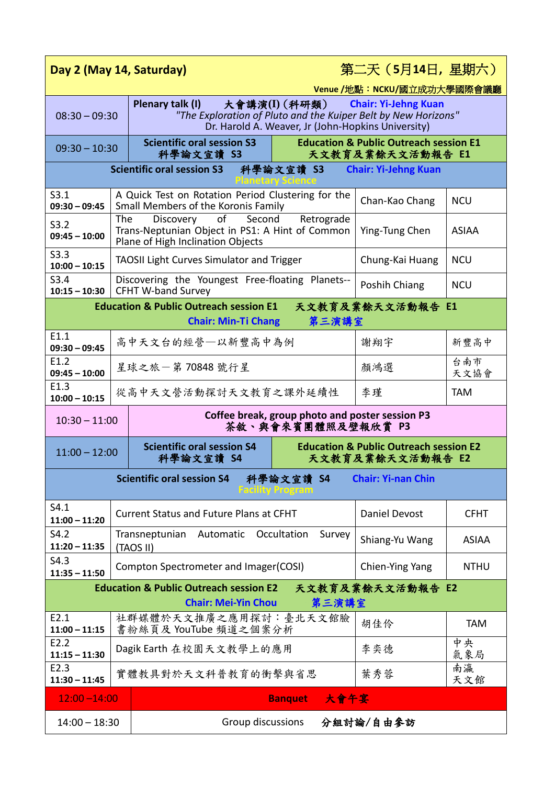| Day 2 (May 14, Saturday)                                                                                                                                                                                       |                         |                                                                                                                                                                                             |                                                                       | 第二天 (5月14日, 星期六) |              |  |  |  |  |
|----------------------------------------------------------------------------------------------------------------------------------------------------------------------------------------------------------------|-------------------------|---------------------------------------------------------------------------------------------------------------------------------------------------------------------------------------------|-----------------------------------------------------------------------|------------------|--------------|--|--|--|--|
| Venue /地點: NCKU/國立成功大學國際會議廳                                                                                                                                                                                    |                         |                                                                                                                                                                                             |                                                                       |                  |              |  |  |  |  |
| Plenary talk (I)<br>大會講演(I)(科研類) - -<br><b>Chair: Yi-Jehng Kuan</b><br>"The Exploration of Pluto and the Kuiper Belt by New Horizons"<br>$08:30 - 09:30$<br>Dr. Harold A. Weaver, Jr (John-Hopkins University) |                         |                                                                                                                                                                                             |                                                                       |                  |              |  |  |  |  |
| $09:30 - 10:30$                                                                                                                                                                                                |                         | <b>Scientific oral session S3</b><br>科學論文宣讀 S3                                                                                                                                              | <b>Education &amp; Public Outreach session E1</b><br>天文教育及業餘天文活動報告 E1 |                  |              |  |  |  |  |
| <b>Scientific oral session S3</b><br>科學論文宣讀 S3<br><b>Chair: Yi-Jehng Kuan</b>                                                                                                                                  |                         |                                                                                                                                                                                             |                                                                       |                  |              |  |  |  |  |
| S3.1<br>$09:30 - 09:45$                                                                                                                                                                                        |                         | A Quick Test on Rotation Period Clustering for the<br>Small Members of the Koronis Family                                                                                                   | Chan-Kao Chang                                                        | <b>NCU</b>       |              |  |  |  |  |
| S3.2<br>$09:45 - 10:00$                                                                                                                                                                                        |                         | Second<br><b>The</b><br>of the control<br>Discovery<br>Retrograde<br>Trans-Neptunian Object in PS1: A Hint of Common<br><b>ASIAA</b><br>Ying-Tung Chen<br>Plane of High Inclination Objects |                                                                       |                  |              |  |  |  |  |
| S3.3<br>$10:00 - 10:15$                                                                                                                                                                                        |                         | <b>TAOSII Light Curves Simulator and Trigger</b>                                                                                                                                            | Chung-Kai Huang                                                       | <b>NCU</b>       |              |  |  |  |  |
| S3.4<br>$10:15 - 10:30$                                                                                                                                                                                        |                         | Discovering the Youngest Free-floating Planets--<br><b>CFHT W-band Survey</b>                                                                                                               | Poshih Chiang                                                         | <b>NCU</b>       |              |  |  |  |  |
| <b>Education &amp; Public Outreach session E1</b><br>天文教育及業餘天文活動報告 E1                                                                                                                                          |                         |                                                                                                                                                                                             |                                                                       |                  |              |  |  |  |  |
|                                                                                                                                                                                                                |                         | <b>Chair: Min-Ti Chang</b>                                                                                                                                                                  | 第三演講室                                                                 |                  |              |  |  |  |  |
| E1.1<br>$09:30 - 09:45$                                                                                                                                                                                        |                         | 高中天文台的經營一以新豐高中為例                                                                                                                                                                            | 謝翔宇                                                                   | 新豐高中             |              |  |  |  |  |
| E1.2<br>$09:45 - 10:00$                                                                                                                                                                                        |                         | 星球之旅一第70848號行星                                                                                                                                                                              | 顏鴻選                                                                   | 台南市<br>天文協會      |              |  |  |  |  |
| E1.3<br>$10:00 - 10:15$                                                                                                                                                                                        |                         | 從高中天文營活動探討天文教育之課外延續性                                                                                                                                                                        | 李瑾                                                                    | <b>TAM</b>       |              |  |  |  |  |
| Coffee break, group photo and poster session P3<br>$10:30 - 11:00$<br>茶敘、與會來賓團體照及壁報欣賞 P3                                                                                                                       |                         |                                                                                                                                                                                             |                                                                       |                  |              |  |  |  |  |
| $11:00 - 12:00$                                                                                                                                                                                                |                         | <b>Scientific oral session S4</b><br>科學論文宣讀 S4                                                                                                                                              | <b>Education &amp; Public Outreach session E2</b><br>天文教育及業餘天文活動報告 E2 |                  |              |  |  |  |  |
| 科學論文宣讀 S4<br><b>Chair: Yi-nan Chin</b><br><b>Scientific oral session S4</b><br>Facurty Program                                                                                                                 |                         |                                                                                                                                                                                             |                                                                       |                  |              |  |  |  |  |
| S4.1<br>$11:00 - 11:20$                                                                                                                                                                                        |                         | Current Status and Future Plans at CFHT                                                                                                                                                     |                                                                       | Daniel Devost    | <b>CFHT</b>  |  |  |  |  |
| S4.2<br>$11:20 - 11:35$                                                                                                                                                                                        |                         | Occultation<br>Transneptunian<br>Automatic<br>(TAOS II)                                                                                                                                     | Survey                                                                | Shiang-Yu Wang   | <b>ASIAA</b> |  |  |  |  |
| S4.3<br>$11:35 - 11:50$                                                                                                                                                                                        |                         | Compton Spectrometer and Imager(COSI)                                                                                                                                                       | Chien-Ying Yang                                                       | <b>NTHU</b>      |              |  |  |  |  |
| <b>Education &amp; Public Outreach session E2</b><br>天文教育及業餘天文活動報告 E2                                                                                                                                          |                         |                                                                                                                                                                                             |                                                                       |                  |              |  |  |  |  |
| 第三演講室<br><b>Chair: Mei-Yin Chou</b>                                                                                                                                                                            |                         |                                                                                                                                                                                             |                                                                       |                  |              |  |  |  |  |
| E2.1<br>$11:00 - 11:15$                                                                                                                                                                                        |                         | 社群媒體於天文推廣之應用探討:臺北天文館臉<br>書粉絲頁及 YouTube 頻道之個案分析                                                                                                                                              |                                                                       | 胡佳伶              | <b>TAM</b>   |  |  |  |  |
| E2.2<br>$11:15 - 11:30$                                                                                                                                                                                        | Dagik Earth 在校園天文教學上的應用 |                                                                                                                                                                                             |                                                                       | 李奕德              | 中央<br>氣象局    |  |  |  |  |
| E2.3<br>$11:30 - 11:45$                                                                                                                                                                                        |                         | 南瀛<br>葉秀蓉<br>實體教具對於天文科普教育的衝擊與省思<br>天文館                                                                                                                                                      |                                                                       |                  |              |  |  |  |  |
| 大會午宴<br><b>Banquet</b><br>$12:00 - 14:00$                                                                                                                                                                      |                         |                                                                                                                                                                                             |                                                                       |                  |              |  |  |  |  |
| Group discussions<br>分組討論/自由參訪<br>$14:00 - 18:30$                                                                                                                                                              |                         |                                                                                                                                                                                             |                                                                       |                  |              |  |  |  |  |